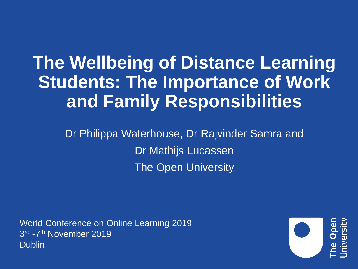# **The Wellbeing of Distance Learning Students: The Importance of Work and Family Responsibilities**

Dr Philippa Waterhouse, Dr Rajvinder Samra and Dr Mathijs Lucassen The Open University

World Conference on Online Learning 2019 3<sup>rd</sup> -7<sup>th</sup> November 2019 **Dublin** 

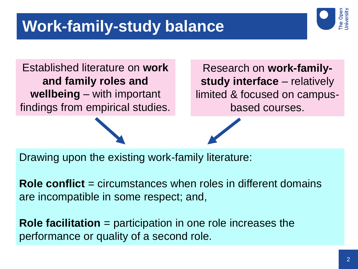### **Work-family-study balance**



Established literature on **work and family roles and wellbeing** – with important findings from empirical studies.

Research on **work-familystudy interface** – relatively limited & focused on campusbased courses.

Drawing upon the existing work-family literature:

**Role conflict** = circumstances when roles in different domains are incompatible in some respect; and,

**Role facilitation** = participation in one role increases the performance or quality of a second role.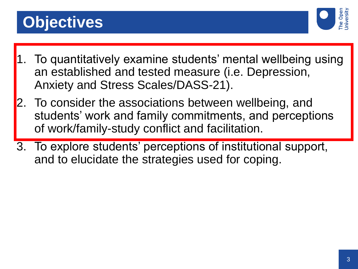## **Objectives**



- 1. To quantitatively examine students' mental wellbeing using an established and tested measure (i.e. Depression, Anxiety and Stress Scales/DASS-21).
- To consider the associations between wellbeing, and students' work and family commitments, and perceptions of work/family-study conflict and facilitation.
- 3. To explore students' perceptions of institutional support, and to elucidate the strategies used for coping.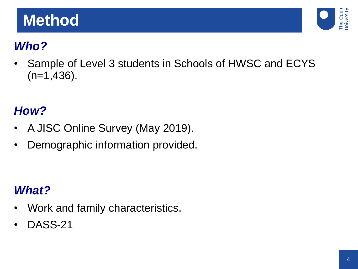### **Method**



#### *Who?*

Sample of Level 3 students in Schools of HWSC and ECYS  $(n=1,436)$ .

#### *How?*

- A JISC Online Survey (May 2019).
- Demographic information provided.

#### *What?*

- Work and family characteristics.
- DASS-21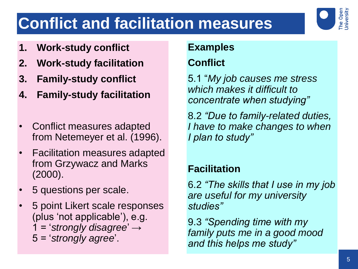# **Conflict and facilitation measures**

- **1. Work-study conflict**
- **2. Work-study facilitation**
- **3. Family-study conflict**
- **4. Family-study facilitation**
- Conflict measures adapted from Netemeyer et al. (1996).
- Facilitation measures adapted from Grzywacz and Marks (2000).
- 5 questions per scale.
- 5 point Likert scale responses (plus 'not applicable'), e.g. 1 = '*strongly disagree*' → 5 = '*strongly agree*'.

#### **Examples**

#### **Conflict**

5.1 "*My job causes me stress which makes it difficult to concentrate when studying"*

8.2 *"Due to family-related duties, I have to make changes to when I plan to study"*

#### **Facilitation**

6.2 *"The skills that I use in my job are useful for my university studies"*

9.3 *"Spending time with my family puts me in a good mood and this helps me study"*

The Open<br>Jniversity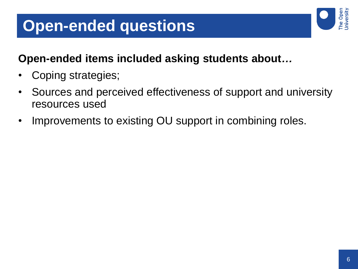### **Open-ended questions**

#### **Open-ended items included asking students about***…*

- Coping strategies;
- Sources and perceived effectiveness of support and university resources used
- Improvements to existing OU support in combining roles.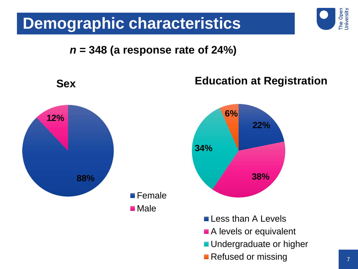#### **Demographic characteristics**

#### *n* **= 348 (a response rate of 24%)**



The Open<br>University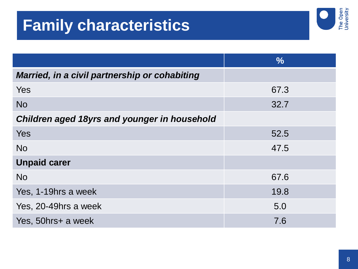## **Family characteristics**



|                                               | $\frac{0}{0}$ |
|-----------------------------------------------|---------------|
| Married, in a civil partnership or cohabiting |               |
| <b>Yes</b>                                    | 67.3          |
| <b>No</b>                                     | 32.7          |
| Children aged 18yrs and younger in household  |               |
| Yes                                           | 52.5          |
| <b>No</b>                                     | 47.5          |
| <b>Unpaid carer</b>                           |               |
| <b>No</b>                                     | 67.6          |
| Yes, 1-19hrs a week                           | 19.8          |
| Yes, 20-49hrs a week                          | 5.0           |
| Yes, 50hrs+ a week                            | 7.6           |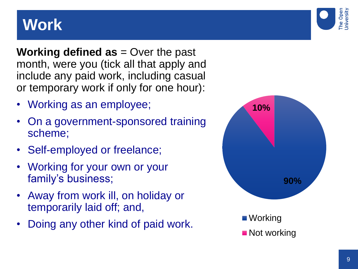### **Work**



- Working as an employee;
- On a government-sponsored training scheme;
- Self-employed or freelance;
- Working for your own or your family's business;
- Away from work ill, on holiday or temporarily laid off; and,
- Doing any other kind of paid work.



The Open<br>Jniversity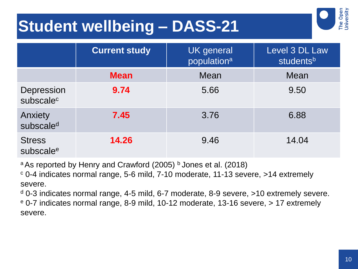## **Student wellbeing – DASS-21**



|                                        | <b>Current study</b> | <b>UK</b> general<br>population <sup>a</sup> | Level 3 DL Law<br>studentsb |
|----------------------------------------|----------------------|----------------------------------------------|-----------------------------|
|                                        | <b>Mean</b>          | Mean                                         | Mean                        |
| Depression<br>subscale <sup>c</sup>    | 9.74                 | 5.66                                         | 9.50                        |
| Anxiety<br>subscale <sup>d</sup>       | 7.45                 | 3.76                                         | 6.88                        |
| <b>Stress</b><br>subscale <sup>e</sup> | 14.26                | 9.46                                         | 14.04                       |

<sup>a</sup> As reported by Henry and Crawford (2005)  $\frac{b}{c}$  Jones et al. (2018)

<sup>c</sup> 0-4 indicates normal range, 5-6 mild, 7-10 moderate, 11-13 severe, >14 extremely severe.

 $d$  0-3 indicates normal range, 4-5 mild, 6-7 moderate, 8-9 severe,  $>10$  extremely severe. <sup>e</sup> 0-7 indicates normal range, 8-9 mild, 10-12 moderate, 13-16 severe, > 17 extremely severe.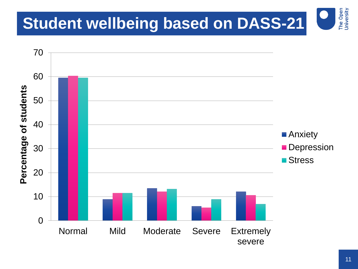## **Student wellbeing based on DASS-21**



The Open<br>University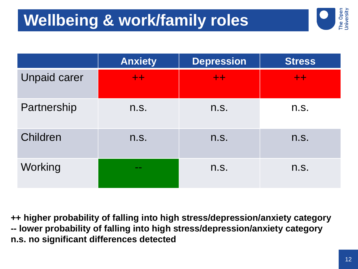# **Wellbeing & work/family roles**



|                     | <b>Anxiety</b>   | <b>Depression</b> | <b>Stress</b> |
|---------------------|------------------|-------------------|---------------|
| <b>Unpaid carer</b> | $+ +$            | $+ +$             | $+ +$         |
| Partnership         | n.S.             | n.S.              | n.S.          |
| Children            | n.S.             | n.S.              | n.S.          |
| Working             | <b>CONTINUES</b> | n.S.              | n.S.          |

**++ higher probability of falling into high stress/depression/anxiety category -- lower probability of falling into high stress/depression/anxiety category n.s. no significant differences detected**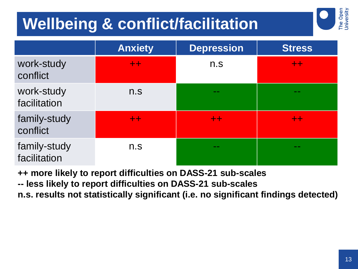# **Wellbeing & conflict/facilitation**



**++ more likely to report difficulties on DASS-21 sub-scales**

**-- less likely to report difficulties on DASS-21 sub-scales**

**n.s. results not statistically significant (i.e. no significant findings detected)** 

The Open<br>University